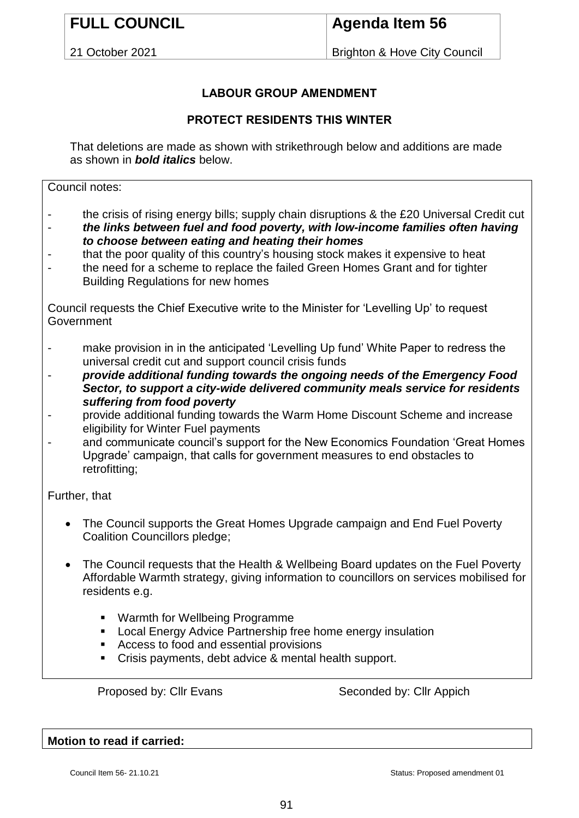# **FULL COUNCIL**

## **Agenda Item 56**

21 October 2021

Brighton & Hove City Council

### **LABOUR GROUP AMENDMENT**

### **PROTECT RESIDENTS THIS WINTER**

That deletions are made as shown with strikethrough below and additions are made as shown in *bold italics* below.

Council notes:

- the crisis of rising energy bills; supply chain disruptions & the £20 Universal Credit cut
- *the links between fuel and food poverty, with low-income families often having to choose between eating and heating their homes*
- that the poor quality of this country's housing stock makes it expensive to heat
- the need for a scheme to replace the failed Green Homes Grant and for tighter Building Regulations for new homes

Council requests the Chief Executive write to the Minister for 'Levelling Up' to request **Government** 

- make provision in in the anticipated 'Levelling Up fund' White Paper to redress the universal credit cut and support council crisis funds
- *provide additional funding towards the ongoing needs of the Emergency Food Sector, to support a city-wide delivered community meals service for residents suffering from food poverty*
- provide additional funding towards the Warm Home Discount Scheme and increase eligibility for Winter Fuel payments
- and communicate council's support for the New Economics Foundation 'Great Homes Upgrade' campaign, that calls for government measures to end obstacles to retrofitting;

Further, that

- The Council supports the Great Homes Upgrade campaign and End Fuel Poverty Coalition Councillors pledge;
- The Council requests that the Health & Wellbeing Board updates on the Fuel Poverty Affordable Warmth strategy, giving information to councillors on services mobilised for residents e.g.
	- Warmth for Wellbeing Programme
	- **EXEC** Local Energy Advice Partnership free home energy insulation
	- Access to food and essential provisions
	- Crisis payments, debt advice & mental health support.

Proposed by: Cllr Evans Seconded by: Cllr Appich

**Motion to read if carried:**

Council Item 56- 21.10.21 Council Item 56- 21.10.21